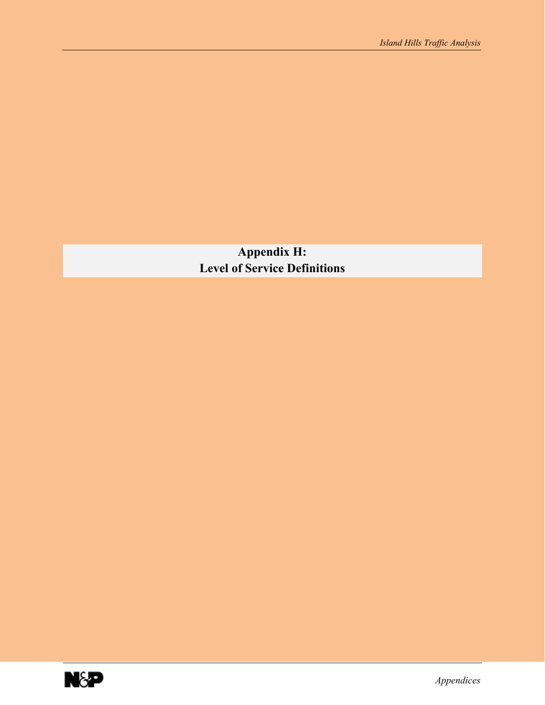**Appendix H: Level of Service Definitions** 

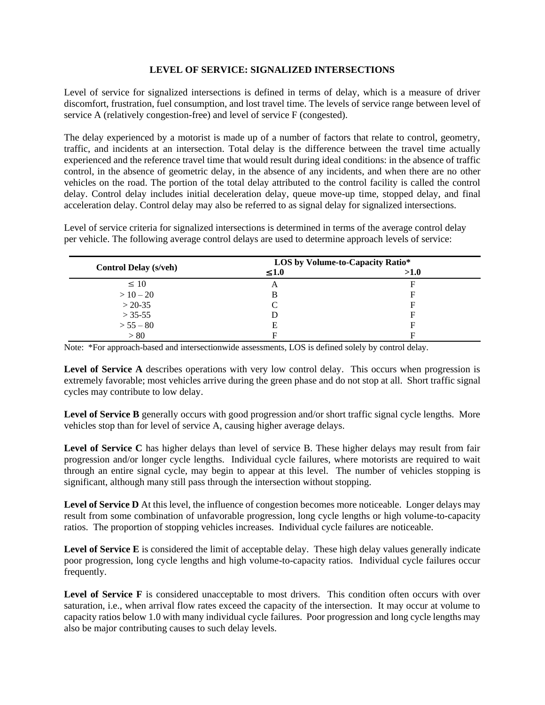## **LEVEL OF SERVICE: SIGNALIZED INTERSECTIONS**

Level of service for signalized intersections is defined in terms of delay, which is a measure of driver discomfort, frustration, fuel consumption, and lost travel time. The levels of service range between level of service A (relatively congestion-free) and level of service F (congested).

The delay experienced by a motorist is made up of a number of factors that relate to control, geometry, traffic, and incidents at an intersection. Total delay is the difference between the travel time actually experienced and the reference travel time that would result during ideal conditions: in the absence of traffic control, in the absence of geometric delay, in the absence of any incidents, and when there are no other vehicles on the road. The portion of the total delay attributed to the control facility is called the control delay. Control delay includes initial deceleration delay, queue move-up time, stopped delay, and final acceleration delay. Control delay may also be referred to as signal delay for signalized intersections.

Level of service criteria for signalized intersections is determined in terms of the average control delay per vehicle. The following average control delays are used to determine approach levels of service:

| <b>Control Delay (s/veh)</b> | <b>LOS by Volume-to-Capacity Ratio*</b> |      |
|------------------------------|-----------------------------------------|------|
|                              | $\leq 1.0$                              | >1.0 |
| $\leq 10$                    | A                                       | Е    |
| $>10-20$                     |                                         |      |
| $> 20-35$                    |                                         |      |
| $> 35-55$                    |                                         | F    |
| $> 55 - 80$                  | Е                                       |      |
| > 80                         | F                                       |      |

Note: \*For approach-based and intersectionwide assessments, LOS is defined solely by control delay.

Level of Service A describes operations with very low control delay. This occurs when progression is extremely favorable; most vehicles arrive during the green phase and do not stop at all. Short traffic signal cycles may contribute to low delay.

Level of Service B generally occurs with good progression and/or short traffic signal cycle lengths. More vehicles stop than for level of service A, causing higher average delays.

**Level of Service C** has higher delays than level of service B. These higher delays may result from fair progression and/or longer cycle lengths. Individual cycle failures, where motorists are required to wait through an entire signal cycle, may begin to appear at this level. The number of vehicles stopping is significant, although many still pass through the intersection without stopping.

Level of Service D At this level, the influence of congestion becomes more noticeable. Longer delays may result from some combination of unfavorable progression, long cycle lengths or high volume-to-capacity ratios. The proportion of stopping vehicles increases. Individual cycle failures are noticeable.

**Level of Service E** is considered the limit of acceptable delay. These high delay values generally indicate poor progression, long cycle lengths and high volume-to-capacity ratios. Individual cycle failures occur frequently.

Level of Service F is considered unacceptable to most drivers. This condition often occurs with over saturation, i.e., when arrival flow rates exceed the capacity of the intersection. It may occur at volume to capacity ratios below 1.0 with many individual cycle failures. Poor progression and long cycle lengths may also be major contributing causes to such delay levels.